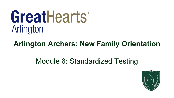# GreatHearts® Arlington

# **Arlington Archers: New Family Orientation**

# Module 6: Standardized Testing

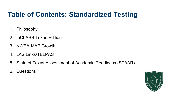## **Table of Contents: Standardized Testing**

- 1. Philosophy
- 2. mCLASS Texas Edition
- 3. NWEA-MAP Growth
- 4. LAS Links/TELPAS
- 5. State of Texas Assessment of Academic Readiness (STAAR)
- 6. Questions?

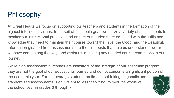# Philosophy

At Great Hearts we focus on supporting our teachers and students in the formation of the highest intellectual virtues. In pursuit of this noble goal, we utilize a variety of assessments to monitor our instructional practices and ensure our students are equipped with the skills and knowledge they need to maintain their course toward the True, the Good, and the Beautiful. Information gleaned from assessments are the mile posts that help us understand how far we have come along the way, and assist us in making any needed course corrections in our journey.

While high assessment outcomes are indicators of the strength of our academic program, they are not the goal of our educational journey and do not consume a significant portion of the academic year. For the average student, the time spent taking diagnostic and standardized assessments is equivalent to less than 8 hours over the whole of the school year in grades 3 through 7.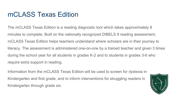#### mCLASS Texas Edition

The mCLASS Texas Edition is a reading diagnostic tool which takes approximately 8 minutes to complete. Built on the nationally recognized DIBELS 8 reading assessment, mCLASS Texas Edition helps teachers understand where scholars are in their journey to literacy. The assessment is administered one-on-one by a trained teacher and given 3 times during the school year for all students in grades K-2 and to students in grades 3-6 who require extra support in reading.

Information from the mCLASS Texas Edition will be used to screen for dyslexia in Kindergarten and first grade, and to inform interventions for struggling readers in Kindergarten through grade six.

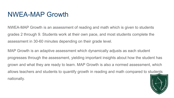#### NWEA-MAP Growth

NWEA-MAP Growth is an assessment of reading and math which is given to students grades 2 through 9. Students work at their own pace, and most students complete the assessment in 30-60 minutes depending on their grade level.

MAP Growth is an adaptive assessment which dynamically adjusts as each student progresses through the assessment, yielding important insights about how the student has grown and what they are ready to learn. MAP Growth is also a normed assessment, which allows teachers and students to quantify growth in reading and math compared to students nationally.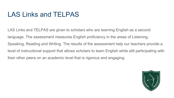## LAS Links and TELPAS

LAS Links and TELPAS are given to scholars who are learning English as a second language. The assessment measures English proficiency in the areas of Listening, Speaking, Reading and Writing. The results of the assessment help our teachers provide a level of instructional support that allows scholars to learn English while still participating with their other peers on an academic level that is rigorous and engaging.

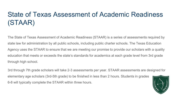## State of Texas Assessment of Academic Readiness (STAAR)

The State of Texas Assessment of Academic Readiness (STAAR) is a series of assessments required by state law for administration by all public schools, including public charter schools. The Texas Education Agency uses the STAAR to ensure that we are meeting our promise to provide our scholars with a quality education that meets or exceeds the state's standards for academics at each grade level from 3rd grade through high school.

3rd through 7th grade scholars will take 2-3 assessments per year. STAAR assessments are designed for elementary age scholars (3rd-5th grade) to be finished in less than 2 hours. Students in grades 6-8 will typically complete the STAAR within three hours.

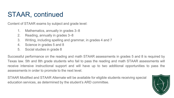## STAAR, continued

Content of STAAR exams by subject and grade level:

- 1. Mathematics, annually in grades 3–8
- 2. Reading, annually in grades 3–8
- 3. Writing, including spelling and grammar, in grades 4 and 7
- 4. Science in grades 5 and 8
- 5. Social studies in grade 8

Successful performance on the reading and math STAAR assessments in grades 5 and 8 is required by Texas law. 5th and 8th grade students who fail to pass the reading and math STAAR assessments will receive intensive instructional support and will have up to two additional opportunities to pass the assessments in order to promote to the next level.

STAAR Modified and STAAR Alternate will be available for eligible students receiving special education services, as determined by the student's ARD committee.